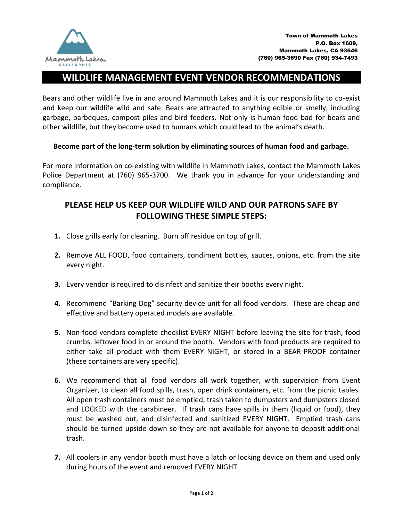

## **WILDLIFE MANAGEMENT EVENT VENDOR RECOMMENDATIONS**

Bears and other wildlife live in and around Mammoth Lakes and it is our responsibility to co-exist and keep our wildlife wild and safe. Bears are attracted to anything edible or smelly, including garbage, barbeques, compost piles and bird feeders. Not only is human food bad for bears and other wildlife, but they become used to humans which could lead to the animal's death.

## **Become part of the long-term solution by eliminating sources of human food and garbage.**

For more information on co-existing with wildlife in Mammoth Lakes, contact the Mammoth Lakes Police Department at (760) 965-3700. We thank you in advance for your understanding and compliance.

## **PLEASE HELP US KEEP OUR WILDLIFE WILD AND OUR PATRONS SAFE BY FOLLOWING THESE SIMPLE STEPS:**

- **1.** Close grills early for cleaning. Burn off residue on top of grill.
- **2.** Remove ALL FOOD, food containers, condiment bottles, sauces, onions, etc. from the site every night.
- **3.** Every vendor is required to disinfect and sanitize their booths every night.
- **4.** Recommend "Barking Dog" security device unit for all food vendors. These are cheap and effective and battery operated models are available.
- **5.** Non-food vendors complete checklist EVERY NIGHT before leaving the site for trash, food crumbs, leftover food in or around the booth. Vendors with food products are required to either take all product with them EVERY NIGHT, or stored in a BEAR-PROOF container (these containers are very specific).
- **6.** We recommend that all food vendors all work together, with supervision from Event Organizer, to clean all food spills, trash, open drink containers, etc. from the picnic tables. All open trash containers must be emptied, trash taken to dumpsters and dumpsters closed and LOCKED with the carabineer. If trash cans have spills in them (liquid or food), they must be washed out, and disinfected and sanitized EVERY NIGHT. Emptied trash cans should be turned upside down so they are not available for anyone to deposit additional trash.
- **7.** All coolers in any vendor booth must have a latch or locking device on them and used only during hours of the event and removed EVERY NIGHT.